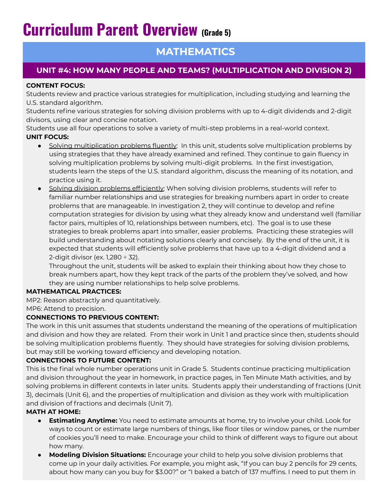# **Curriculum Parent Overview (Grade 5)**

## **MATHEMATICS**

### **UNIT #4: HOW MANY PEOPLE AND TEAMS? (MULTIPLICATION AND DIVISION 2)**

#### **CONTENT FOCUS:**

Students review and practice various strategies for multiplication, including studying and learning the U.S. standard algorithm.

Students refine various strategies for solving division problems with up to 4-digit dividends and 2-digit divisors, using clear and concise notation.

Students use all four operations to solve a variety of multi-step problems in a real-world context. **UNIT FOCUS:**

- Solving multiplication problems fluently: In this unit, students solve multiplication problems by using strategies that they have already examined and refined. They continue to gain fluency in solving multiplication problems by solving multi-digit problems. In the first investigation, students learn the steps of the U.S. standard algorithm, discuss the meaning of its notation, and practice using it.
- Solving division problems efficiently: When solving division problems, students will refer to familiar number relationships and use strategies for breaking numbers apart in order to create problems that are manageable. In investigation 2, they will continue to develop and refine computation strategies for division by using what they already know and understand well (familiar factor pairs, multiples of 10, relationships between numbers, etc). The goal is to use these strategies to break problems apart into smaller, easier problems. Practicing these strategies will build understanding about notating solutions clearly and concisely. By the end of the unit, it is expected that students will efficiently solve problems that have up to a 4-digit dividend and a 2-digit divisor (ex. 1,280  $\div$  32).

Throughout the unit, students will be asked to explain their thinking about how they chose to break numbers apart, how they kept track of the parts of the problem they've solved, and how they are using number relationships to help solve problems.

#### **MATHEMATICAL PRACTICES:**

MP2: Reason abstractly and quantitatively.

MP6: Attend to precision.

#### **CONNECTIONS TO PREVIOUS CONTENT:**

The work in this unit assumes that students understand the meaning of the operations of multiplication and division and how they are related. From their work in Unit 1 and practice since then, students should be solving multiplication problems fluently. They should have strategies for solving division problems, but may still be working toward efficiency and developing notation.

#### **CONNECTIONS TO FUTURE CONTENT:**

This is the final whole number operations unit in Grade 5. Students continue practicing multiplication and division throughout the year in homework, in practice pages, in Ten Minute Math activities, and by solving problems in different contexts in later units. Students apply their understanding of fractions (Unit 3), decimals (Unit 6), and the properties of multiplication and division as they work with multiplication and division of fractions and decimals (Unit 7).

#### **MATH AT HOME:**

- **Estimating Anytime:** You need to estimate amounts at home, try to involve your child. Look for ways to count or estimate large numbers of things, like floor tiles or window panes, or the number of cookies you'll need to make. Encourage your child to think of different ways to figure out about how many.
- **● Modeling Division Situations:** Encourage your child to help you solve division problems that come up in your daily activities. For example, you might ask, "If you can buy 2 pencils for 29 cents, about how many can you buy for \$3.00?" or "I baked a batch of 137 muffins. I need to put them in